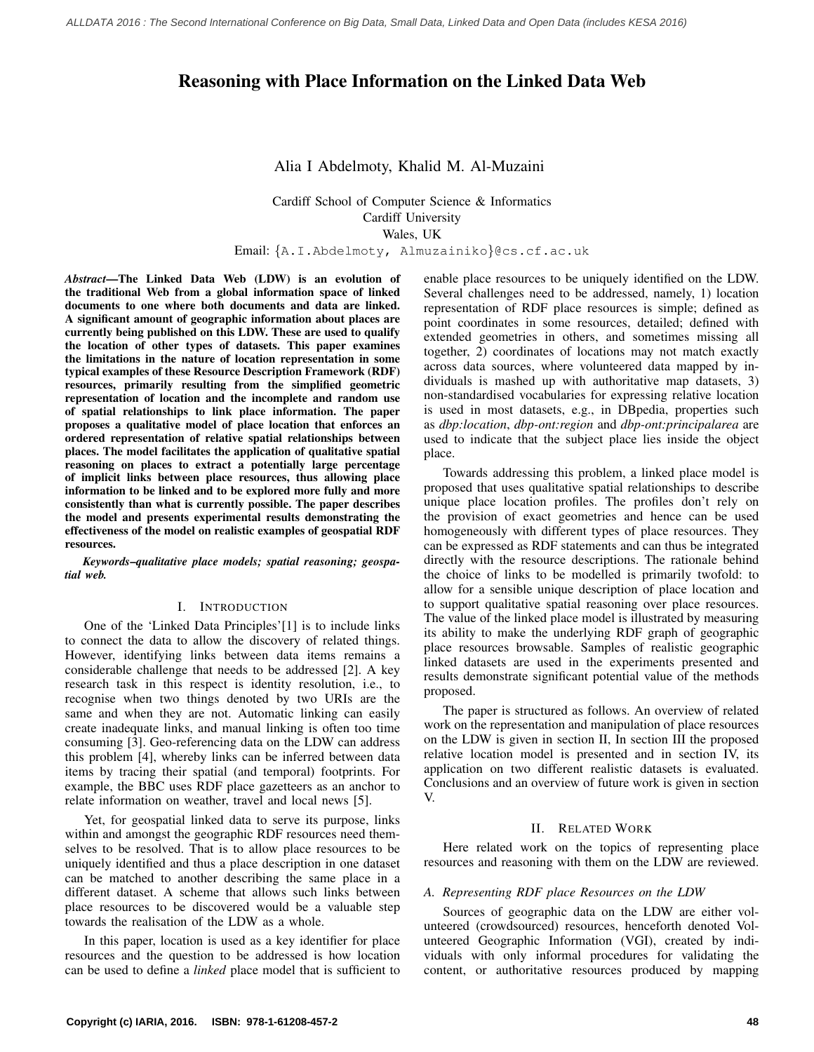# Reasoning with Place Information on the Linked Data Web

# Alia I Abdelmoty, Khalid M. Al-Muzaini

Cardiff School of Computer Science & Informatics Cardiff University Wales, UK

Email: {A.I.Abdelmoty, Almuzainiko}@cs.cf.ac.uk

*Abstract*—The Linked Data Web (LDW) is an evolution of the traditional Web from a global information space of linked documents to one where both documents and data are linked. A significant amount of geographic information about places are currently being published on this LDW. These are used to qualify the location of other types of datasets. This paper examines the limitations in the nature of location representation in some typical examples of these Resource Description Framework (RDF) resources, primarily resulting from the simplified geometric representation of location and the incomplete and random use of spatial relationships to link place information. The paper proposes a qualitative model of place location that enforces an ordered representation of relative spatial relationships between places. The model facilitates the application of qualitative spatial reasoning on places to extract a potentially large percentage of implicit links between place resources, thus allowing place information to be linked and to be explored more fully and more consistently than what is currently possible. The paper describes the model and presents experimental results demonstrating the effectiveness of the model on realistic examples of geospatial RDF resources.

*Keywords*–*qualitative place models; spatial reasoning; geospatial web.*

## I. INTRODUCTION

One of the 'Linked Data Principles'[1] is to include links to connect the data to allow the discovery of related things. However, identifying links between data items remains a considerable challenge that needs to be addressed [2]. A key research task in this respect is identity resolution, i.e., to recognise when two things denoted by two URIs are the same and when they are not. Automatic linking can easily create inadequate links, and manual linking is often too time consuming [3]. Geo-referencing data on the LDW can address this problem [4], whereby links can be inferred between data items by tracing their spatial (and temporal) footprints. For example, the BBC uses RDF place gazetteers as an anchor to relate information on weather, travel and local news [5].

Yet, for geospatial linked data to serve its purpose, links within and amongst the geographic RDF resources need themselves to be resolved. That is to allow place resources to be uniquely identified and thus a place description in one dataset can be matched to another describing the same place in a different dataset. A scheme that allows such links between place resources to be discovered would be a valuable step towards the realisation of the LDW as a whole.

In this paper, location is used as a key identifier for place resources and the question to be addressed is how location can be used to define a *linked* place model that is sufficient to enable place resources to be uniquely identified on the LDW. Several challenges need to be addressed, namely, 1) location representation of RDF place resources is simple; defined as point coordinates in some resources, detailed; defined with extended geometries in others, and sometimes missing all together, 2) coordinates of locations may not match exactly across data sources, where volunteered data mapped by individuals is mashed up with authoritative map datasets, 3) non-standardised vocabularies for expressing relative location is used in most datasets, e.g., in DBpedia, properties such as *dbp:location*, *dbp-ont:region* and *dbp-ont:principalarea* are used to indicate that the subject place lies inside the object place.

Towards addressing this problem, a linked place model is proposed that uses qualitative spatial relationships to describe unique place location profiles. The profiles don't rely on the provision of exact geometries and hence can be used homogeneously with different types of place resources. They can be expressed as RDF statements and can thus be integrated directly with the resource descriptions. The rationale behind the choice of links to be modelled is primarily twofold: to allow for a sensible unique description of place location and to support qualitative spatial reasoning over place resources. The value of the linked place model is illustrated by measuring its ability to make the underlying RDF graph of geographic place resources browsable. Samples of realistic geographic linked datasets are used in the experiments presented and results demonstrate significant potential value of the methods proposed.

The paper is structured as follows. An overview of related work on the representation and manipulation of place resources on the LDW is given in section II, In section III the proposed relative location model is presented and in section IV, its application on two different realistic datasets is evaluated. Conclusions and an overview of future work is given in section V.

## II. RELATED WORK

Here related work on the topics of representing place resources and reasoning with them on the LDW are reviewed.

#### *A. Representing RDF place Resources on the LDW*

Sources of geographic data on the LDW are either volunteered (crowdsourced) resources, henceforth denoted Volunteered Geographic Information (VGI), created by individuals with only informal procedures for validating the content, or authoritative resources produced by mapping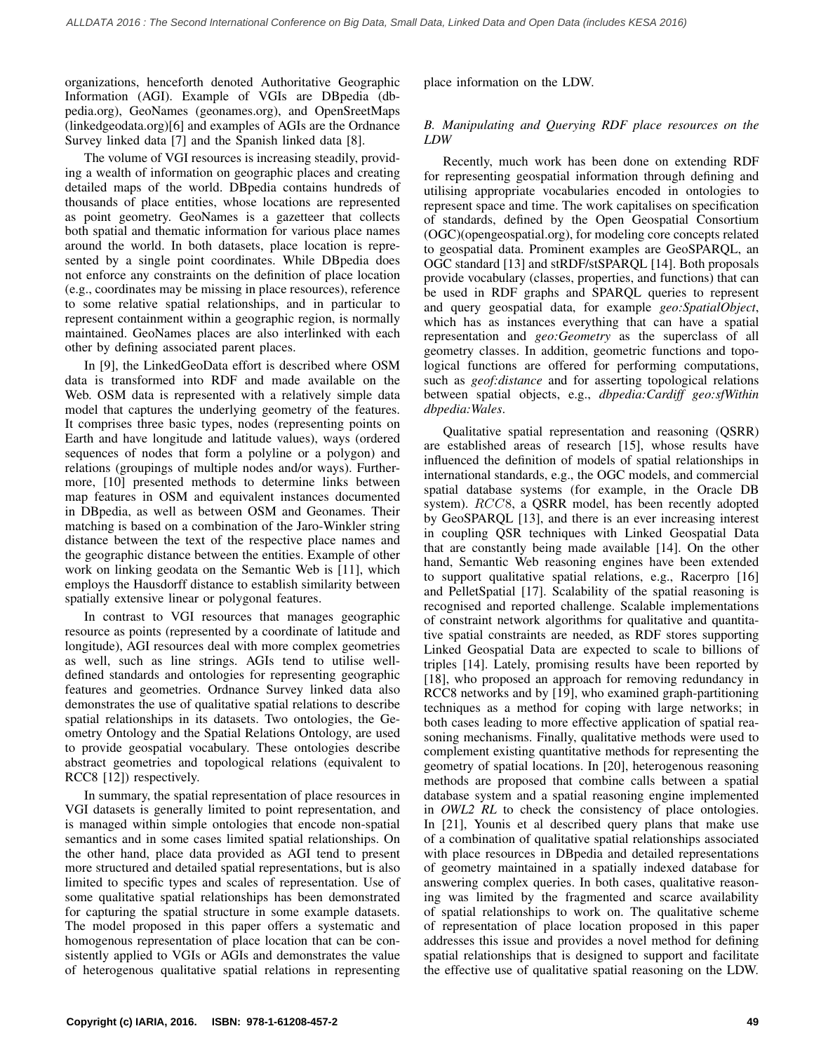organizations, henceforth denoted Authoritative Geographic Information (AGI). Example of VGIs are DBpedia (dbpedia.org), GeoNames (geonames.org), and OpenSreetMaps (linkedgeodata.org)[6] and examples of AGIs are the Ordnance Survey linked data [7] and the Spanish linked data [8].

The volume of VGI resources is increasing steadily, providing a wealth of information on geographic places and creating detailed maps of the world. DBpedia contains hundreds of thousands of place entities, whose locations are represented as point geometry. GeoNames is a gazetteer that collects both spatial and thematic information for various place names around the world. In both datasets, place location is represented by a single point coordinates. While DBpedia does not enforce any constraints on the definition of place location (e.g., coordinates may be missing in place resources), reference to some relative spatial relationships, and in particular to represent containment within a geographic region, is normally maintained. GeoNames places are also interlinked with each other by defining associated parent places.

In [9], the LinkedGeoData effort is described where OSM data is transformed into RDF and made available on the Web. OSM data is represented with a relatively simple data model that captures the underlying geometry of the features. It comprises three basic types, nodes (representing points on Earth and have longitude and latitude values), ways (ordered sequences of nodes that form a polyline or a polygon) and relations (groupings of multiple nodes and/or ways). Furthermore, [10] presented methods to determine links between map features in OSM and equivalent instances documented in DBpedia, as well as between OSM and Geonames. Their matching is based on a combination of the Jaro-Winkler string distance between the text of the respective place names and the geographic distance between the entities. Example of other work on linking geodata on the Semantic Web is [11], which employs the Hausdorff distance to establish similarity between spatially extensive linear or polygonal features.

In contrast to VGI resources that manages geographic resource as points (represented by a coordinate of latitude and longitude), AGI resources deal with more complex geometries as well, such as line strings. AGIs tend to utilise welldefined standards and ontologies for representing geographic features and geometries. Ordnance Survey linked data also demonstrates the use of qualitative spatial relations to describe spatial relationships in its datasets. Two ontologies, the Geometry Ontology and the Spatial Relations Ontology, are used to provide geospatial vocabulary. These ontologies describe abstract geometries and topological relations (equivalent to RCC8 [12]) respectively.

In summary, the spatial representation of place resources in VGI datasets is generally limited to point representation, and is managed within simple ontologies that encode non-spatial semantics and in some cases limited spatial relationships. On the other hand, place data provided as AGI tend to present more structured and detailed spatial representations, but is also limited to specific types and scales of representation. Use of some qualitative spatial relationships has been demonstrated for capturing the spatial structure in some example datasets. The model proposed in this paper offers a systematic and homogenous representation of place location that can be consistently applied to VGIs or AGIs and demonstrates the value of heterogenous qualitative spatial relations in representing place information on the LDW.

## *B. Manipulating and Querying RDF place resources on the LDW*

Recently, much work has been done on extending RDF for representing geospatial information through defining and utilising appropriate vocabularies encoded in ontologies to represent space and time. The work capitalises on specification of standards, defined by the Open Geospatial Consortium (OGC)(opengeospatial.org), for modeling core concepts related to geospatial data. Prominent examples are GeoSPARQL, an OGC standard [13] and stRDF/stSPARQL [14]. Both proposals provide vocabulary (classes, properties, and functions) that can be used in RDF graphs and SPARQL queries to represent and query geospatial data, for example *geo:SpatialObject*, which has as instances everything that can have a spatial representation and *geo:Geometry* as the superclass of all geometry classes. In addition, geometric functions and topological functions are offered for performing computations, such as *geof:distance* and for asserting topological relations between spatial objects, e.g., *dbpedia:Cardiff geo:sfWithin dbpedia:Wales*.

Qualitative spatial representation and reasoning (QSRR) are established areas of research [15], whose results have influenced the definition of models of spatial relationships in international standards, e.g., the OGC models, and commercial spatial database systems (for example, in the Oracle DB system).  $RCC8$ , a QSRR model, has been recently adopted by GeoSPARQL [13], and there is an ever increasing interest in coupling QSR techniques with Linked Geospatial Data that are constantly being made available [14]. On the other hand, Semantic Web reasoning engines have been extended to support qualitative spatial relations, e.g., Racerpro [16] and PelletSpatial [17]. Scalability of the spatial reasoning is recognised and reported challenge. Scalable implementations of constraint network algorithms for qualitative and quantitative spatial constraints are needed, as RDF stores supporting Linked Geospatial Data are expected to scale to billions of triples [14]. Lately, promising results have been reported by [18], who proposed an approach for removing redundancy in RCC8 networks and by [19], who examined graph-partitioning techniques as a method for coping with large networks; in both cases leading to more effective application of spatial reasoning mechanisms. Finally, qualitative methods were used to complement existing quantitative methods for representing the geometry of spatial locations. In [20], heterogenous reasoning methods are proposed that combine calls between a spatial database system and a spatial reasoning engine implemented in *OWL2 RL* to check the consistency of place ontologies. In [21], Younis et al described query plans that make use of a combination of qualitative spatial relationships associated with place resources in DBpedia and detailed representations of geometry maintained in a spatially indexed database for answering complex queries. In both cases, qualitative reasoning was limited by the fragmented and scarce availability of spatial relationships to work on. The qualitative scheme of representation of place location proposed in this paper addresses this issue and provides a novel method for defining spatial relationships that is designed to support and facilitate the effective use of qualitative spatial reasoning on the LDW.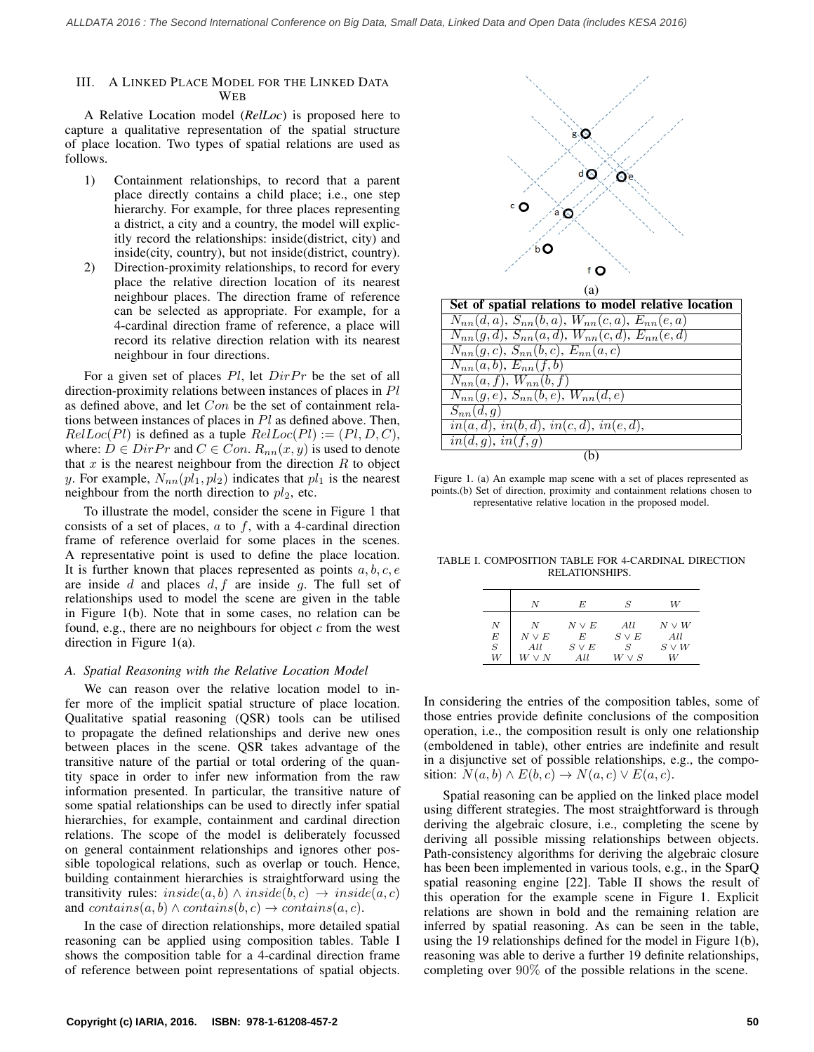#### III. A LINKED PLACE MODEL FOR THE LINKED DATA **WEB**

A Relative Location model (*RelLoc*) is proposed here to capture a qualitative representation of the spatial structure of place location. Two types of spatial relations are used as follows.

- 1) Containment relationships, to record that a parent place directly contains a child place; i.e., one step hierarchy. For example, for three places representing a district, a city and a country, the model will explicitly record the relationships: inside(district, city) and inside(city, country), but not inside(district, country).
- 2) Direction-proximity relationships, to record for every place the relative direction location of its nearest neighbour places. The direction frame of reference can be selected as appropriate. For example, for a 4-cardinal direction frame of reference, a place will record its relative direction relation with its nearest neighbour in four directions.

For a given set of places  $Pl$ , let  $DirPr$  be the set of all direction-proximity relations between instances of places in Pl as defined above, and let Con be the set of containment relations between instances of places in  $Pl$  as defined above. Then,  $RelLoc(Pl)$  is defined as a tuple  $RelLoc(Pl) := (Pl, D, C)$ , where:  $D \in Dir Pr$  and  $C \in Con$ .  $R_{nn}(x, y)$  is used to denote that  $x$  is the nearest neighbour from the direction  $R$  to object y. For example,  $N_{nn}(pl_1, pl_2)$  indicates that  $pl_1$  is the nearest neighbour from the north direction to  $pl_2$ , etc.

To illustrate the model, consider the scene in Figure 1 that consists of a set of places,  $a$  to  $f$ , with a 4-cardinal direction frame of reference overlaid for some places in the scenes. A representative point is used to define the place location. It is further known that places represented as points  $a, b, c, e$ are inside d and places  $d, f$  are inside g. The full set of relationships used to model the scene are given in the table in Figure 1(b). Note that in some cases, no relation can be found, e.g., there are no neighbours for object  $c$  from the west direction in Figure 1(a).

## *A. Spatial Reasoning with the Relative Location Model*

We can reason over the relative location model to infer more of the implicit spatial structure of place location. Qualitative spatial reasoning (QSR) tools can be utilised to propagate the defined relationships and derive new ones between places in the scene. QSR takes advantage of the transitive nature of the partial or total ordering of the quantity space in order to infer new information from the raw information presented. In particular, the transitive nature of some spatial relationships can be used to directly infer spatial hierarchies, for example, containment and cardinal direction relations. The scope of the model is deliberately focussed on general containment relationships and ignores other possible topological relations, such as overlap or touch. Hence, building containment hierarchies is straightforward using the transitivity rules:  $inside(a, b) \wedge inside(b, c) \rightarrow inside(a, c)$ and  $contains(a, b) \wedge contains(b, c) \rightarrow contains(a, c)$ .

In the case of direction relationships, more detailed spatial reasoning can be applied using composition tables. Table I shows the composition table for a 4-cardinal direction frame of reference between point representations of spatial objects.



| Set of spatial relations to model relative location      |  |  |  |
|----------------------------------------------------------|--|--|--|
| $N_{nn}(d, a), S_{nn}(b, a), W_{nn}(c, a), E_{nn}(e, a)$ |  |  |  |
| $N_{nn}(g, d), S_{nn}(a, d), W_{nn}(c, d), E_{nn}(e, d)$ |  |  |  |
| $N_{nn}(g, c), S_{nn}(b, c), E_{nn}(a, c)$               |  |  |  |
| $N_{nn}(a,b), E_{nn}(f,b)$                               |  |  |  |
| $N_{nn}(a, f), W_{nn}(b, f)$                             |  |  |  |
| $N_{nn}(g, e), S_{nn}(b, e), W_{nn}(d, e)$               |  |  |  |
| $S_{nn}(d,q)$                                            |  |  |  |
| $\overline{in(a,d), in(b,d), in(c,d), in(e,d)},$         |  |  |  |
| in(d,g), in(f,g)                                         |  |  |  |
|                                                          |  |  |  |

Figure 1. (a) An example map scene with a set of places represented as points.(b) Set of direction, proximity and containment relations chosen to representative relative location in the proposed model.

TABLE I. COMPOSITION TABLE FOR 4-CARDINAL DIRECTION RELATIONSHIPS.

|                                            | Ν                | E          | S          | W          |
|--------------------------------------------|------------------|------------|------------|------------|
| $\begin{array}{c} N \\ E \\ S \end{array}$ | $\boldsymbol{N}$ | $N \vee E$ | All        | $N \vee W$ |
|                                            | $N \vee E$       | E          | $S \vee E$ | All        |
|                                            | All              | $S \vee E$ | S          | $S \vee W$ |
| W                                          | $W \vee N$       | All        | $W\vee S$  | W          |

In considering the entries of the composition tables, some of those entries provide definite conclusions of the composition operation, i.e., the composition result is only one relationship (emboldened in table), other entries are indefinite and result in a disjunctive set of possible relationships, e.g., the composition:  $N(a, b) \wedge E(b, c) \rightarrow N(a, c) \vee E(a, c)$ .

Spatial reasoning can be applied on the linked place model using different strategies. The most straightforward is through deriving the algebraic closure, i.e., completing the scene by deriving all possible missing relationships between objects. Path-consistency algorithms for deriving the algebraic closure has been been implemented in various tools, e.g., in the SparQ spatial reasoning engine [22]. Table II shows the result of this operation for the example scene in Figure 1. Explicit relations are shown in bold and the remaining relation are inferred by spatial reasoning. As can be seen in the table, using the 19 relationships defined for the model in Figure 1(b), reasoning was able to derive a further 19 definite relationships, completing over 90% of the possible relations in the scene.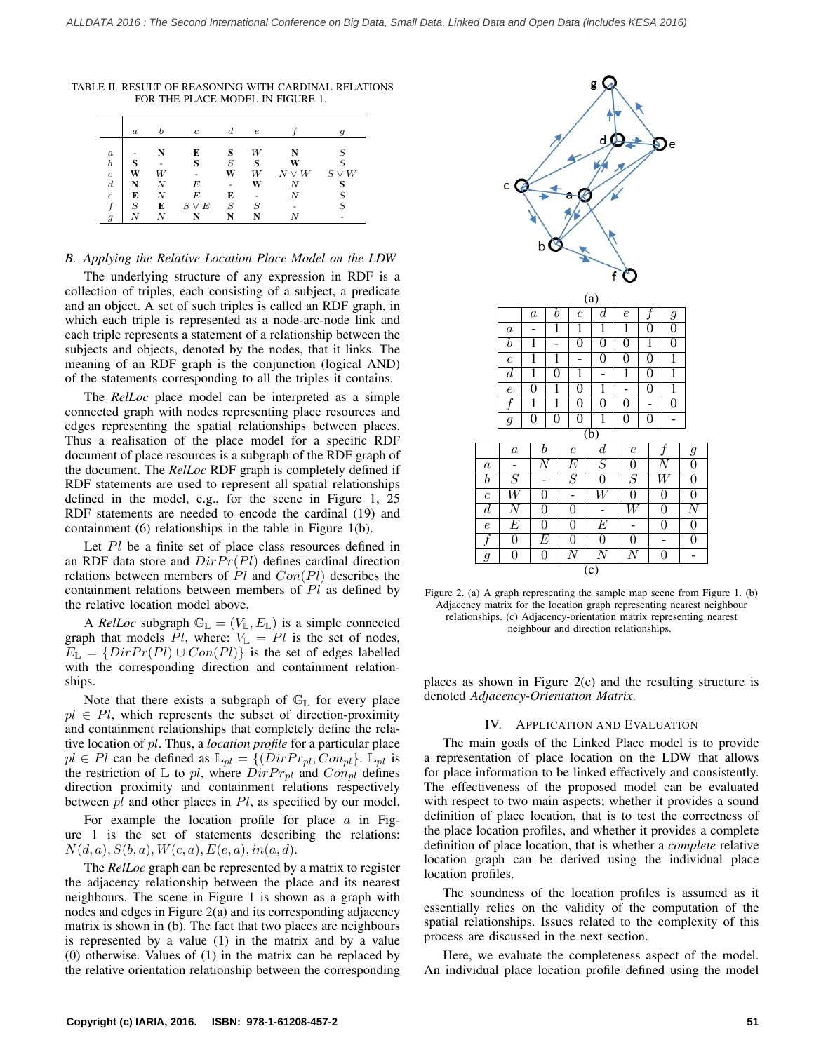|                  | $\boldsymbol{a}$ |   | $\boldsymbol{c}$ | d. | $\epsilon$ |            | g                |
|------------------|------------------|---|------------------|----|------------|------------|------------------|
| $\boldsymbol{a}$ |                  |   | E                | S  | W          | N          | S                |
| $\boldsymbol{b}$ | s                |   | S                | S  | S          | W          | $\boldsymbol{S}$ |
| $\boldsymbol{c}$ | W                | W |                  | W  | W          | $N \vee W$ | $S \vee W$       |
| $\boldsymbol{d}$ |                  |   | E                | ٠  | W          | N          | c                |
| $\epsilon$       | E                | Ν | E                | E  | -          | N          | S                |
|                  | $\boldsymbol{S}$ | E | $S\vee E$        | S  | S          |            | S                |
| $\boldsymbol{q}$ |                  |   |                  |    |            |            |                  |

TABLE II. RESULT OF REASONING WITH CARDINAL RELATIONS FOR THE PLACE MODEL IN FIGURE 1.

## *B. Applying the Relative Location Place Model on the LDW*

The underlying structure of any expression in RDF is a collection of triples, each consisting of a subject, a predicate and an object. A set of such triples is called an RDF graph, in which each triple is represented as a node-arc-node link and each triple represents a statement of a relationship between the subjects and objects, denoted by the nodes, that it links. The meaning of an RDF graph is the conjunction (logical AND) of the statements corresponding to all the triples it contains.

The *RelLoc* place model can be interpreted as a simple connected graph with nodes representing place resources and edges representing the spatial relationships between places. Thus a realisation of the place model for a specific RDF document of place resources is a subgraph of the RDF graph of the document. The *RelLoc* RDF graph is completely defined if RDF statements are used to represent all spatial relationships defined in the model, e.g., for the scene in Figure 1, 25 RDF statements are needed to encode the cardinal (19) and containment (6) relationships in the table in Figure 1(b).

Let Pl be a finite set of place class resources defined in an RDF data store and  $DirPr(Pl)$  defines cardinal direction relations between members of  $Pl$  and  $Con(Pl)$  describes the containment relations between members of Pl as defined by the relative location model above.

A *RelLoc* subgraph  $\mathbb{G}_{\mathbb{L}} = (V_{\mathbb{L}}, E_{\mathbb{L}})$  is a simple connected graph that models Pl, where:  $V_{\mathbb{L}} = Pl$  is the set of nodes,  $E_{\mathbb{L}} = \{DirPr(Pl) \cup Con(Pl)\}\$ is the set of edges labelled with the corresponding direction and containment relationships.

Note that there exists a subgraph of  $\mathbb{G}_{\mathbb{L}}$  for every place  $pl \in Pl$ , which represents the subset of direction-proximity and containment relationships that completely define the relative location of pl. Thus, a *location profile* for a particular place  $pl \in Pl$  can be defined as  $\mathbb{L}_{pl} = \{ (DirPr_{pl}, Con_{pl})\}$ .  $\mathbb{L}_{pl}$  is the restriction of  $\mathbb L$  to pl, where  $DirPr_{pl}$  and  $Con_{pl}$  defines direction proximity and containment relations respectively between pl and other places in Pl, as specified by our model.

For example the location profile for place  $\alpha$  in Figure 1 is the set of statements describing the relations:  $N(d, a), S(b, a), W(c, a), E(e, a), in(a, d).$ 

The *RelLoc* graph can be represented by a matrix to register the adjacency relationship between the place and its nearest neighbours. The scene in Figure 1 is shown as a graph with nodes and edges in Figure 2(a) and its corresponding adjacency matrix is shown in (b). The fact that two places are neighbours is represented by a value (1) in the matrix and by a value (0) otherwise. Values of (1) in the matrix can be replaced by the relative orientation relationship between the corresponding



Figure 2. (a) A graph representing the sample map scene from Figure 1. (b) Adjacency matrix for the location graph representing nearest neighbour relationships. (c) Adjacency-orientation matrix representing nearest neighbour and direction relationships.

places as shown in Figure 2(c) and the resulting structure is denoted *Adjacency-Orientation Matrix*.

#### IV. APPLICATION AND EVALUATION

The main goals of the Linked Place model is to provide a representation of place location on the LDW that allows for place information to be linked effectively and consistently. The effectiveness of the proposed model can be evaluated with respect to two main aspects; whether it provides a sound definition of place location, that is to test the correctness of the place location profiles, and whether it provides a complete definition of place location, that is whether a *complete* relative location graph can be derived using the individual place location profiles.

The soundness of the location profiles is assumed as it essentially relies on the validity of the computation of the spatial relationships. Issues related to the complexity of this process are discussed in the next section.

Here, we evaluate the completeness aspect of the model. An individual place location profile defined using the model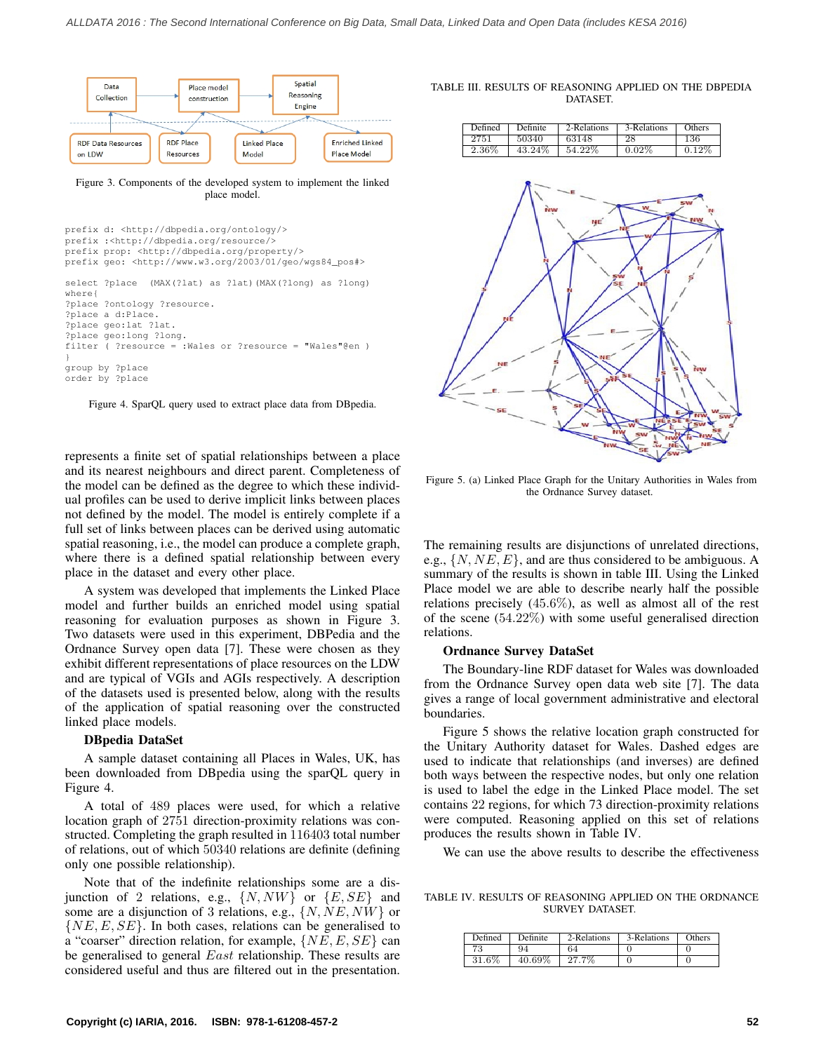

Figure 3. Components of the developed system to implement the linked place model.

```
prefix d: <http://dbpedia.org/ontology/>
prefix :<http://dbpedia.org/resource/>
prefix prop: <http://dbpedia.org/property/>
prefix geo: <http://www.w3.org/2003/01/geo/wgs84_pos#>
select ?place (MAX(?lat) as ?lat)(MAX(?long) as ?long)
where{
?place ?ontology ?resource.
?place a d:Place.
?place geo:lat ?lat.
?place geo:long ?long.
filter ( ?resource = :Wales or ?resource = "Wales"@en )
}
group by ?place
order by ?place
```
Figure 4. SparQL query used to extract place data from DBpedia.

represents a finite set of spatial relationships between a place and its nearest neighbours and direct parent. Completeness of the model can be defined as the degree to which these individual profiles can be used to derive implicit links between places not defined by the model. The model is entirely complete if a full set of links between places can be derived using automatic spatial reasoning, i.e., the model can produce a complete graph, where there is a defined spatial relationship between every place in the dataset and every other place.

A system was developed that implements the Linked Place model and further builds an enriched model using spatial reasoning for evaluation purposes as shown in Figure 3. Two datasets were used in this experiment, DBPedia and the Ordnance Survey open data [7]. These were chosen as they exhibit different representations of place resources on the LDW and are typical of VGIs and AGIs respectively. A description of the datasets used is presented below, along with the results of the application of spatial reasoning over the constructed linked place models.

#### DBpedia DataSet

A sample dataset containing all Places in Wales, UK, has been downloaded from DBpedia using the sparQL query in Figure 4.

A total of 489 places were used, for which a relative location graph of 2751 direction-proximity relations was constructed. Completing the graph resulted in 116403 total number of relations, out of which 50340 relations are definite (defining only one possible relationship).

Note that of the indefinite relationships some are a disjunction of 2 relations, e.g.,  $\{N, NW\}$  or  $\{E, SE\}$  and some are a disjunction of 3 relations, e.g.,  $\{N, NE, NW\}$  or  $\{NE, E, SE\}$ . In both cases, relations can be generalised to a "coarser" direction relation, for example,  $\{NE, E, SE\}$  can be generalised to general *East* relationship. These results are considered useful and thus are filtered out in the presentation.

TABLE III. RESULTS OF REASONING APPLIED ON THE DBPEDIA **DATASET.** 

| Defined | Definite. | 2-Relations | 3-Relations | Others |
|---------|-----------|-------------|-------------|--------|
| 2751    | 50340     | 63148       | 28          | 136    |
| 2.36%   | 43.24%    | 54.22%      | $0.02\%$    | 0.12%  |



Figure 5. (a) Linked Place Graph for the Unitary Authorities in Wales from the Ordnance Survey dataset.

The remaining results are disjunctions of unrelated directions, e.g.,  $\{N, NE, E\}$ , and are thus considered to be ambiguous. A summary of the results is shown in table III. Using the Linked Place model we are able to describe nearly half the possible relations precisely (45.6%), as well as almost all of the rest of the scene (54.22%) with some useful generalised direction relations.

#### Ordnance Survey DataSet

The Boundary-line RDF dataset for Wales was downloaded from the Ordnance Survey open data web site [7]. The data gives a range of local government administrative and electoral boundaries.

Figure 5 shows the relative location graph constructed for the Unitary Authority dataset for Wales. Dashed edges are used to indicate that relationships (and inverses) are defined both ways between the respective nodes, but only one relation is used to label the edge in the Linked Place model. The set contains 22 regions, for which 73 direction-proximity relations were computed. Reasoning applied on this set of relations produces the results shown in Table IV.

We can use the above results to describe the effectiveness

TABLE IV. RESULTS OF REASONING APPLIED ON THE ORDNANCE SURVEY DATASET.

| Defined | Definite  | 2-Relations | 3-Relations | Others |
|---------|-----------|-------------|-------------|--------|
|         | 94        | 64          |             |        |
| 31.6%   | $40.69\%$ | 27.7%       |             |        |